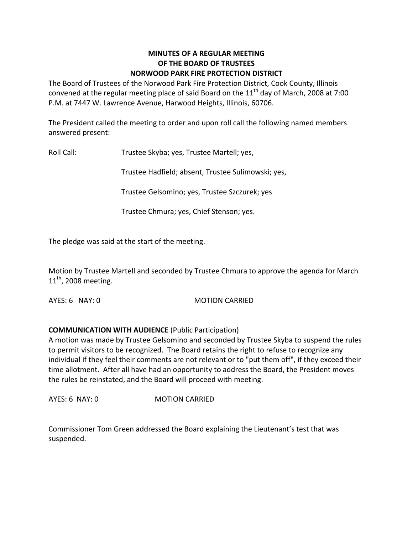### **MINUTES OF A REGULAR MEETING OF THE BOARD OF TRUSTEES NORWOOD PARK FIRE PROTECTION DISTRICT**

The Board of Trustees of the Norwood Park Fire Protection District, Cook County, Illinois convened at the regular meeting place of said Board on the  $11<sup>th</sup>$  day of March, 2008 at 7:00 P.M. at 7447 W. Lawrence Avenue, Harwood Heights, Illinois, 60706.

The President called the meeting to order and upon roll call the following named members answered present:

Roll Call: Trustee Skyba; yes, Trustee Martell; yes,

Trustee Hadfield; absent, Trustee Sulimowski; yes,

Trustee Gelsomino; yes, Trustee Szczurek; yes

Trustee Chmura; yes, Chief Stenson; yes.

The pledge was said at the start of the meeting.

Motion by Trustee Martell and seconded by Trustee Chmura to approve the agenda for March  $11<sup>th</sup>$ , 2008 meeting.

AYES: 6 NAY: 0 MOTION CARRIED

## **COMMUNICATION WITH AUDIENCE** (Public Participation)

A motion was made by Trustee Gelsomino and seconded by Trustee Skyba to suspend the rules to permit visitors to be recognized. The Board retains the right to refuse to recognize any individual if they feel their comments are not relevant or to "put them off", if they exceed their time allotment. After all have had an opportunity to address the Board, the President moves the rules be reinstated, and the Board will proceed with meeting.

AYES: 6 NAY: 0 MOTION CARRIED

Commissioner Tom Green addressed the Board explaining the Lieutenant's test that was suspended.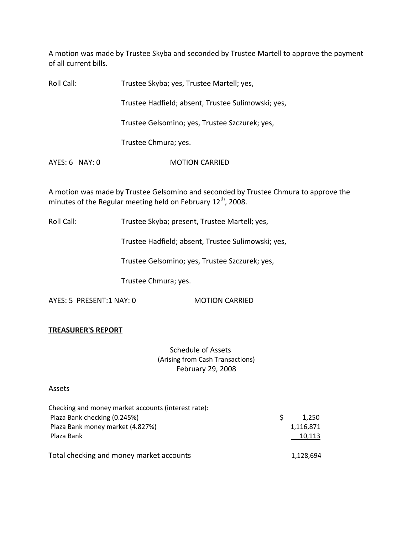A motion was made by Trustee Skyba and seconded by Trustee Martell to approve the payment of all current bills.

| Roll Call:     | Trustee Skyba; yes, Trustee Martell; yes,          |
|----------------|----------------------------------------------------|
|                | Trustee Hadfield; absent, Trustee Sulimowski; yes, |
|                | Trustee Gelsomino; yes, Trustee Szczurek; yes,     |
|                | Trustee Chmura; yes.                               |
| AYES: 6 NAY: 0 | <b>MOTION CARRIED</b>                              |

A motion was made by Trustee Gelsomino and seconded by Trustee Chmura to approve the minutes of the Regular meeting held on February 12<sup>th</sup>, 2008.

Roll Call: Trustee Skyba; present, Trustee Martell; yes,

Trustee Hadfield; absent, Trustee Sulimowski; yes,

Trustee Gelsomino; yes, Trustee Szczurek; yes,

Trustee Chmura; yes.

AYES: 5 PRESENT:1 NAY: 0 MOTION CARRIED

#### **TREASURER'S REPORT**

Schedule of Assets (Arising from Cash Transactions) February 29, 2008

#### Assets

| Checking and money market accounts (interest rate): |           |
|-----------------------------------------------------|-----------|
| Plaza Bank checking (0.245%)                        | 1.250     |
| Plaza Bank money market (4.827%)                    | 1,116,871 |
| Plaza Bank                                          | 10,113    |
| Total checking and money market accounts            | 1,128,694 |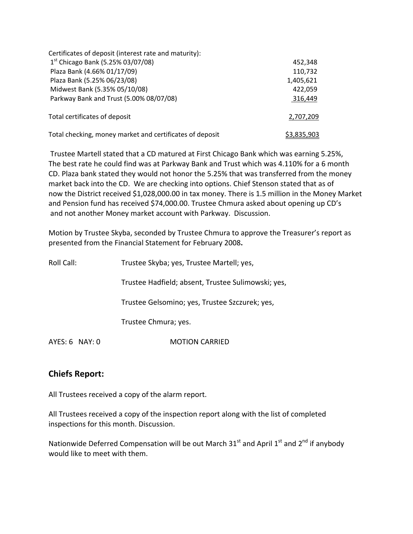| Certificates of deposit (interest rate and maturity):    |             |
|----------------------------------------------------------|-------------|
| $1st$ Chicago Bank (5.25% 03/07/08)                      | 452,348     |
| Plaza Bank (4.66% 01/17/09)                              | 110,732     |
| Plaza Bank (5.25% 06/23/08)                              | 1,405,621   |
| Midwest Bank (5.35% 05/10/08)                            | 422,059     |
| Parkway Bank and Trust (5.00% 08/07/08)                  | 316,449     |
| Total certificates of deposit                            | 2,707,209   |
| Total checking, money market and certificates of deposit | \$3,835,903 |

Trustee Martell stated that a CD matured at First Chicago Bank which was earning 5.25%, The best rate he could find was at Parkway Bank and Trust which was 4.110% for a 6 month CD. Plaza bank stated they would not honor the 5.25% that was transferred from the money market back into the CD. We are checking into options. Chief Stenson stated that as of now the District received \$1,028,000.00 in tax money. There is 1.5 million in the Money Market and Pension fund has received \$74,000.00. Trustee Chmura asked about opening up CD's and not another Money market account with Parkway. Discussion.

Motion by Trustee Skyba, seconded by Trustee Chmura to approve the Treasurer's report as presented from the Financial Statement for February 2008**.**

| Roll Call: | Trustee Skyba; yes, Trustee Martell; yes,          |
|------------|----------------------------------------------------|
|            | Trustee Hadfield; absent, Trustee Sulimowski; yes, |
|            | Trustee Gelsomino; yes, Trustee Szczurek; yes,     |
|            | Trustee Chmura; yes.                               |
|            |                                                    |

AYES: 6 NAY: 0 **MOTION CARRIED** 

# **Chiefs Report:**

All Trustees received a copy of the alarm report.

All Trustees received a copy of the inspection report along with the list of completed inspections for this month. Discussion.

Nationwide Deferred Compensation will be out March 31<sup>st</sup> and April 1<sup>st</sup> and 2<sup>nd</sup> if anybody would like to meet with them.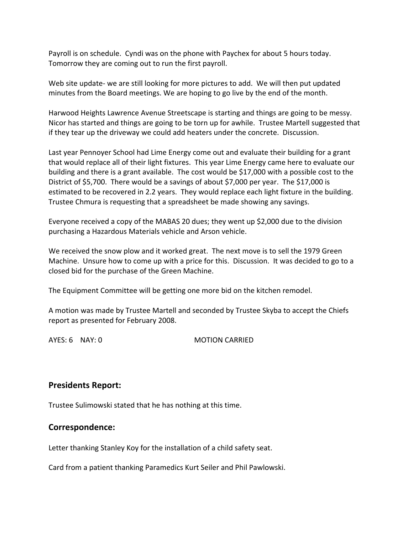Payroll is on schedule. Cyndi was on the phone with Paychex for about 5 hours today. Tomorrow they are coming out to run the first payroll.

Web site update- we are still looking for more pictures to add. We will then put updated minutes from the Board meetings. We are hoping to go live by the end of the month.

Harwood Heights Lawrence Avenue Streetscape is starting and things are going to be messy. Nicor has started and things are going to be torn up for awhile. Trustee Martell suggested that if they tear up the driveway we could add heaters under the concrete. Discussion.

Last year Pennoyer School had Lime Energy come out and evaluate their building for a grant that would replace all of their light fixtures. This year Lime Energy came here to evaluate our building and there is a grant available. The cost would be \$17,000 with a possible cost to the District of \$5,700. There would be a savings of about \$7,000 per year. The \$17,000 is estimated to be recovered in 2.2 years. They would replace each light fixture in the building. Trustee Chmura is requesting that a spreadsheet be made showing any savings.

Everyone received a copy of the MABAS 20 dues; they went up \$2,000 due to the division purchasing a Hazardous Materials vehicle and Arson vehicle.

We received the snow plow and it worked great. The next move is to sell the 1979 Green Machine. Unsure how to come up with a price for this. Discussion. It was decided to go to a closed bid for the purchase of the Green Machine.

The Equipment Committee will be getting one more bid on the kitchen remodel.

A motion was made by Trustee Martell and seconded by Trustee Skyba to accept the Chiefs report as presented for February 2008.

AYES: 6 NAY: 0 MOTION CARRIED

## **Presidents Report:**

Trustee Sulimowski stated that he has nothing at this time.

## **Correspondence:**

Letter thanking Stanley Koy for the installation of a child safety seat.

Card from a patient thanking Paramedics Kurt Seiler and Phil Pawlowski.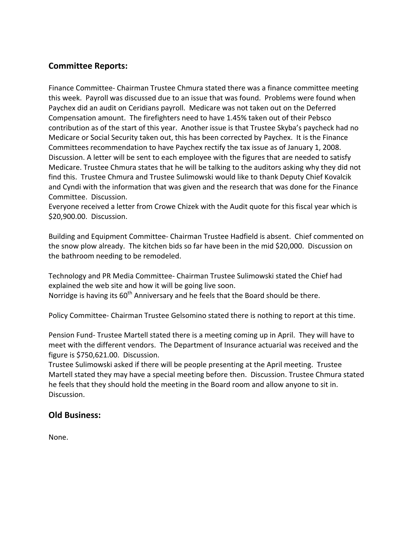# **Committee Reports:**

Finance Committee‐ Chairman Trustee Chmura stated there was a finance committee meeting this week. Payroll was discussed due to an issue that was found. Problems were found when Paychex did an audit on Ceridians payroll. Medicare was not taken out on the Deferred Compensation amount. The firefighters need to have 1.45% taken out of their Pebsco contribution as of the start of this year. Another issue is that Trustee Skyba's paycheck had no Medicare or Social Security taken out, this has been corrected by Paychex. It is the Finance Committees recommendation to have Paychex rectify the tax issue as of January 1, 2008. Discussion. A letter will be sent to each employee with the figures that are needed to satisfy Medicare. Trustee Chmura states that he will be talking to the auditors asking why they did not find this. Trustee Chmura and Trustee Sulimowski would like to thank Deputy Chief Kovalcik and Cyndi with the information that was given and the research that was done for the Finance Committee. Discussion.

Everyone received a letter from Crowe Chizek with the Audit quote for this fiscal year which is \$20,900.00. Discussion.

Building and Equipment Committee‐ Chairman Trustee Hadfield is absent. Chief commented on the snow plow already. The kitchen bids so far have been in the mid \$20,000. Discussion on the bathroom needing to be remodeled.

Technology and PR Media Committee‐ Chairman Trustee Sulimowski stated the Chief had explained the web site and how it will be going live soon. Norridge is having its  $60<sup>th</sup>$  Anniversary and he feels that the Board should be there.

Policy Committee‐ Chairman Trustee Gelsomino stated there is nothing to report at this time.

Pension Fund‐ Trustee Martell stated there is a meeting coming up in April. They will have to meet with the different vendors. The Department of Insurance actuarial was received and the figure is \$750,621.00. Discussion.

Trustee Sulimowski asked if there will be people presenting at the April meeting. Trustee Martell stated they may have a special meeting before then. Discussion. Trustee Chmura stated he feels that they should hold the meeting in the Board room and allow anyone to sit in. Discussion.

# **Old Business:**

None.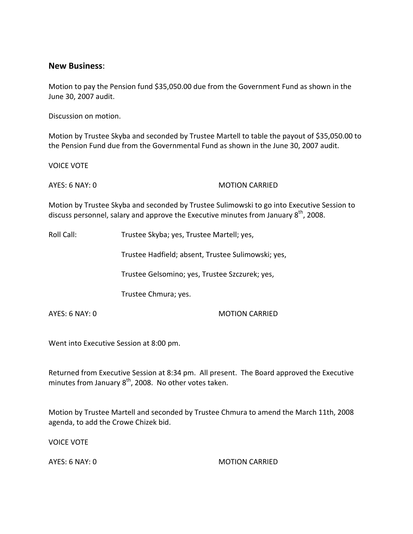### **New Business**:

Motion to pay the Pension fund \$35,050.00 due from the Government Fund as shown in the June 30, 2007 audit.

Discussion on motion.

Motion by Trustee Skyba and seconded by Trustee Martell to table the payout of \$35,050.00 to the Pension Fund due from the Governmental Fund as shown in the June 30, 2007 audit.

VOICE VOTE

AYES: 6 NAY: 0 MOTION CARRIED

Motion by Trustee Skyba and seconded by Trustee Sulimowski to go into Executive Session to discuss personnel, salary and approve the Executive minutes from January  $8^{th}$ , 2008.

Roll Call: Trustee Skyba; yes, Trustee Martell; yes,

Trustee Hadfield; absent, Trustee Sulimowski; yes,

Trustee Gelsomino; yes, Trustee Szczurek; yes,

Trustee Chmura; yes.

AYES: 6 NAY: 0 MOTION CARRIED

Went into Executive Session at 8:00 pm.

Returned from Executive Session at 8:34 pm. All present. The Board approved the Executive minutes from January  $8^{th}$ , 2008. No other votes taken.

Motion by Trustee Martell and seconded by Trustee Chmura to amend the March 11th, 2008 agenda, to add the Crowe Chizek bid.

VOICE VOTE

AYES: 6 NAY: 0 **MOTION CARRIED**